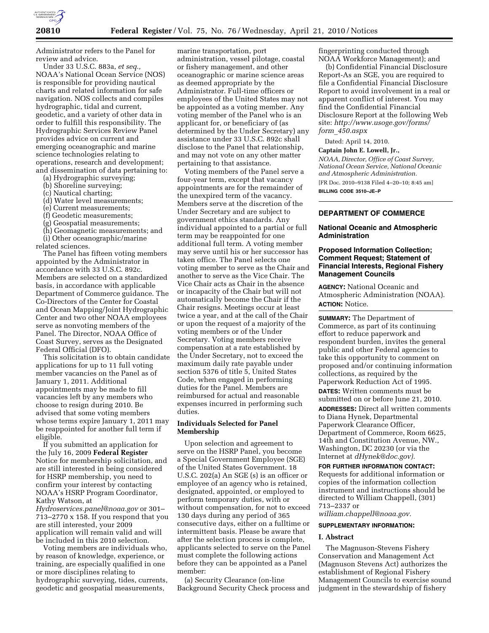

Administrator refers to the Panel for review and advice.

Under 33 U.S.C. 883a, *et seq.,*  NOAA's National Ocean Service (NOS) is responsible for providing nautical charts and related information for safe navigation. NOS collects and compiles hydrographic, tidal and current, geodetic, and a variety of other data in order to fulfill this responsibility. The Hydrographic Services Review Panel provides advice on current and emerging oceanographic and marine science technologies relating to operations, research and development; and dissemination of data pertaining to:

- (a) Hydrographic surveying;
- (b) Shoreline surveying;
- (c) Nautical charting;
- (d) Water level measurements;
- (e) Current measurements;
- (f) Geodetic measurements;
- (g) Geospatial measurements;
- (h) Geomagnetic measurements; and (i) Other oceanographic/marine

related sciences.

The Panel has fifteen voting members appointed by the Administrator in accordance with 33 U.S.C. 892c. Members are selected on a standardized basis, in accordance with applicable Department of Commerce guidance. The Co-Directors of the Center for Coastal and Ocean Mapping/Joint Hydrographic Center and two other NOAA employees serve as nonvoting members of the Panel. The Director, NOAA Office of Coast Survey, serves as the Designated Federal Official (DFO).

This solicitation is to obtain candidate applications for up to 11 full voting member vacancies on the Panel as of January 1, 2011. Additional appointments may be made to fill vacancies left by any members who choose to resign during 2010. Be advised that some voting members whose terms expire January 1, 2011 may be reappointed for another full term if eligible.

If you submitted an application for the July 16, 2009 **Federal Register**  Notice for membership solicitation, and are still interested in being considered for HSRP membership, you need to confirm your interest by contacting NOAA's HSRP Program Coordinator, Kathy Watson, at

*Hydroservices.panel@noaa.gov* or 301– 713–2770 x 158. If you respond that you are still interested, your 2009 application will remain valid and will be included in this 2010 selection.

Voting members are individuals who, by reason of knowledge, experience, or training, are especially qualified in one or more disciplines relating to hydrographic surveying, tides, currents, geodetic and geospatial measurements,

marine transportation, port administration, vessel pilotage, coastal or fishery management, and other oceanographic or marine science areas as deemed appropriate by the Administrator. Full-time officers or employees of the United States may not be appointed as a voting member. Any voting member of the Panel who is an applicant for, or beneficiary of (as determined by the Under Secretary) any assistance under 33 U.S.C. 892c shall disclose to the Panel that relationship, and may not vote on any other matter pertaining to that assistance.

Voting members of the Panel serve a four-year term, except that vacancy appointments are for the remainder of the unexpired term of the vacancy. Members serve at the discretion of the Under Secretary and are subject to government ethics standards. Any individual appointed to a partial or full term may be reappointed for one additional full term. A voting member may serve until his or her successor has taken office. The Panel selects one voting member to serve as the Chair and another to serve as the Vice Chair. The Vice Chair acts as Chair in the absence or incapacity of the Chair but will not automatically become the Chair if the Chair resigns. Meetings occur at least twice a year, and at the call of the Chair or upon the request of a majority of the voting members or of the Under Secretary. Voting members receive compensation at a rate established by the Under Secretary, not to exceed the maximum daily rate payable under section 5376 of title 5, United States Code, when engaged in performing duties for the Panel. Members are reimbursed for actual and reasonable expenses incurred in performing such duties.

### **Individuals Selected for Panel Membership**

Upon selection and agreement to serve on the HSRP Panel, you become a Special Government Employee (SGE) of the United States Government. 18 U.S.C. 202(a) An SGE (s) is an officer or employee of an agency who is retained, designated, appointed, or employed to perform temporary duties, with or without compensation, for not to exceed 130 days during any period of 365 consecutive days, either on a fulltime or intermittent basis. Please be aware that after the selection process is complete, applicants selected to serve on the Panel must complete the following actions before they can be appointed as a Panel member:

(a) Security Clearance (on-line Background Security Check process and

fingerprinting conducted through NOAA Workforce Management); and

(b) Confidential Financial Disclosure Report-As an SGE, you are required to file a Confidential Financial Disclosure Report to avoid involvement in a real or apparent conflict of interest. You may find the Confidential Financial Disclosure Report at the following Web site: *http://www.usoge.gov/forms/ form*\_*450.aspx* 

Dated: April 14, 2010.

### **Captain John E. Lowell, Jr.,**

*NOAA, Director, Office of Coast Survey, National Ocean Service, National Oceanic and Atmospheric Administration.* 

[FR Doc. 2010–9138 Filed 4–20–10; 8:45 am] **BILLING CODE 3510–JE–P** 

# **DEPARTMENT OF COMMERCE**

### **National Oceanic and Atmospheric Administration**

# **Proposed Information Collection; Comment Request; Statement of Financial Interests, Regional Fishery Management Councils**

**AGENCY:** National Oceanic and Atmospheric Administration (NOAA). **ACTION:** Notice.

**SUMMARY:** The Department of Commerce, as part of its continuing effort to reduce paperwork and respondent burden, invites the general public and other Federal agencies to take this opportunity to comment on proposed and/or continuing information collections, as required by the Paperwork Reduction Act of 1995.

**DATES:** Written comments must be submitted on or before June 21, 2010.

**ADDRESSES:** Direct all written comments to Diana Hynek, Departmental Paperwork Clearance Officer, Department of Commerce, Room 6625, 14th and Constitution Avenue, NW., Washington, DC 20230 (or via the Internet at *dHynek@doc.gov).* 

**FOR FURTHER INFORMATION CONTACT:**  Requests for additional information or copies of the information collection instrument and instructions should be directed to William Chappell, (301) 713–2337 or

*william.chappell@noaa.gov.*  **SUPPLEMENTARY INFORMATION:** 

#### **I. Abstract**

The Magnuson-Stevens Fishery Conservation and Management Act (Magnuson Stevens Act) authorizes the establishment of Regional Fishery Management Councils to exercise sound judgment in the stewardship of fishery